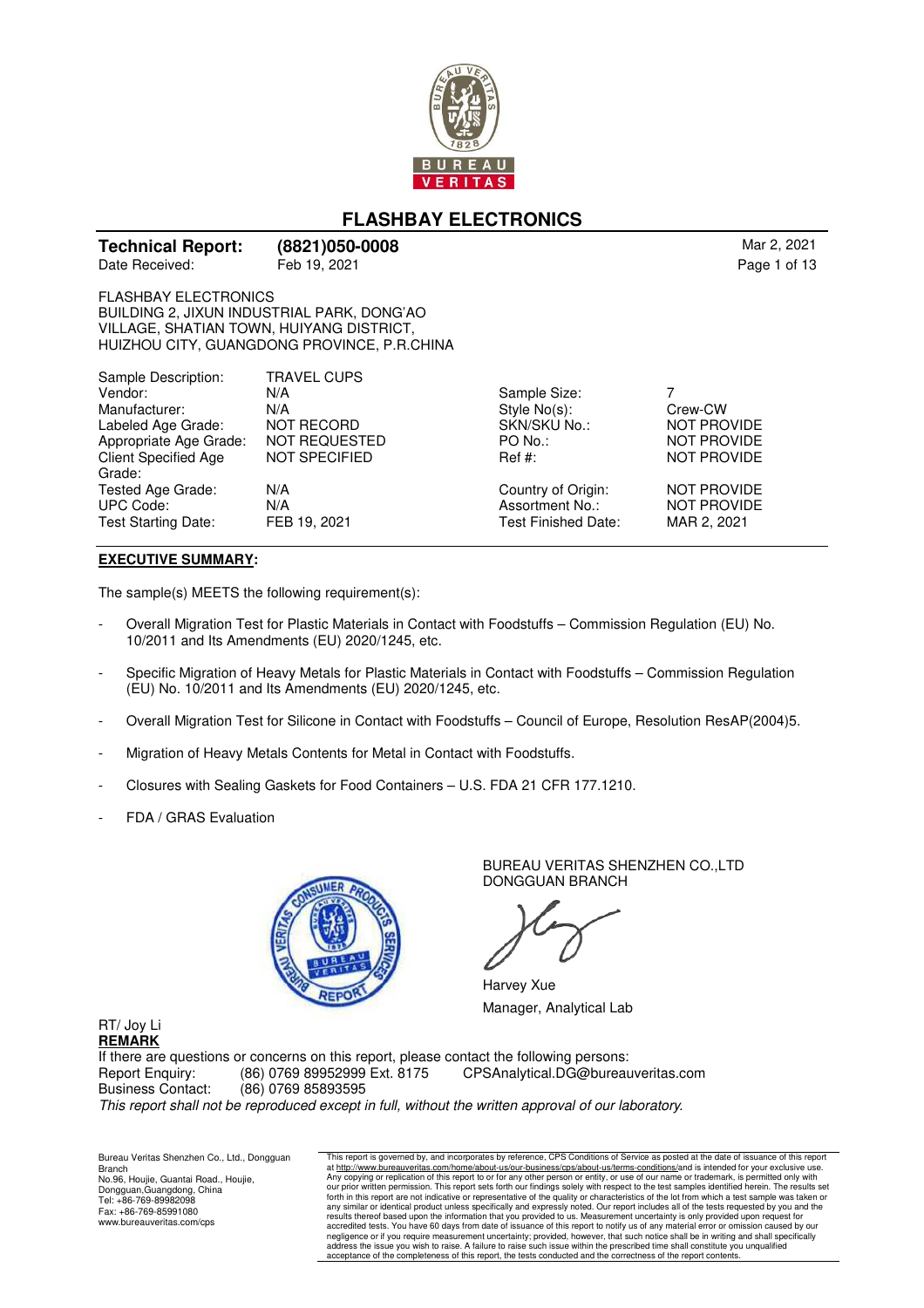

# **FLASHBAY ELECTRONICS**

| <b>Technical Report:</b> | ( |
|--------------------------|---|
| Date Received:           | F |

**Technical Report: (8821)050-0008** Mar 2, 2021

FLASHBAY ELECTRONICS BUILDING 2, JIXUN INDUSTRIAL PARK, DONG'AO VILLAGE, SHATIAN TOWN, HUIYANG DISTRICT, HUIZHOU CITY, GUANGDONG PROVINCE, P.R.CHINA

| Sample Description:         | <b>TRAVEL CUPS</b>   |                     |                    |
|-----------------------------|----------------------|---------------------|--------------------|
| Vendor:                     | N/A                  | Sample Size:        |                    |
| Manufacturer:               | N/A                  | Style $No(s)$ :     | Crew-CW            |
| Labeled Age Grade:          | <b>NOT RECORD</b>    | SKN/SKU No.:        | <b>NOT PROVIDE</b> |
| Appropriate Age Grade:      | <b>NOT REQUESTED</b> | $PO$ No.:           | <b>NOT PROVIDE</b> |
| <b>Client Specified Age</b> | NOT SPECIFIED        | $\text{Ref } #:$    | <b>NOT PROVIDE</b> |
| Grade:                      |                      |                     |                    |
| Tested Age Grade:           | N/A                  | Country of Origin:  | <b>NOT PROVIDE</b> |
| <b>UPC Code:</b>            | N/A                  | Assortment No.:     | <b>NOT PROVIDE</b> |
| Test Starting Date:         | FEB 19, 2021         | Test Finished Date: | MAR 2, 2021        |
|                             |                      |                     |                    |

#### **EXECUTIVE SUMMARY:**

The sample(s) MEETS the following requirement(s):

- Overall Migration Test for Plastic Materials in Contact with Foodstuffs Commission Regulation (EU) No. 10/2011 and Its Amendments (EU) 2020/1245, etc.
- Specific Migration of Heavy Metals for Plastic Materials in Contact with Foodstuffs Commission Regulation (EU) No. 10/2011 and Its Amendments (EU) 2020/1245, etc.
- Overall Migration Test for Silicone in Contact with Foodstuffs Council of Europe, Resolution ResAP(2004)5.
- Migration of Heavy Metals Contents for Metal in Contact with Foodstuffs.
- Closures with Sealing Gaskets for Food Containers U.S. FDA 21 CFR 177.1210.
- FDA / GRAS Evaluation



BUREAU VERITAS SHENZHEN CO.,LTD DONGGUAN BRANCH

Harvey Xue Manager, Analytical Lab

RT/ Joy Li **REMARK**

If there are questions or concerns on this report, please contact the following persons:<br>Report Enquiry: (86) 0769 89952999 Ext. 8175 CPSAnalytical.DG@bureau Report Enquiry: (86) 0769 89952999 Ext. 8175 CPSAnalytical.DG@bureauveritas.com Business Contact: (86) 0769 85893595 This report shall not be reproduced except in full, without the written approval of our laboratory.

Bureau Veritas Shenzhen Co., Ltd., Dongguan Branch No.96, Houjie, Guantai Road., Houjie, Dongguan,Guangdong, China Tel: +86-769-89982098 Fax: +86-769-85991080 www.bureauveritas.com/cps

This report is governed by, and incorporates by reference, CPS Conditions of Service as posted at the date of issuance of this report<br>at http://www.bureauveritas.com/home/about-us/our-business/cps/about-us/flerms-condition accredited tests. You have 60 days from date of issuance of this report to notify us of any material error or omission caused by our<br>negligence or if you require measurement uncertainty; provided, however, that such notice acceptance of the completeness of this report, the tests conducted and the correctness of the report contents.

Page 1 of 13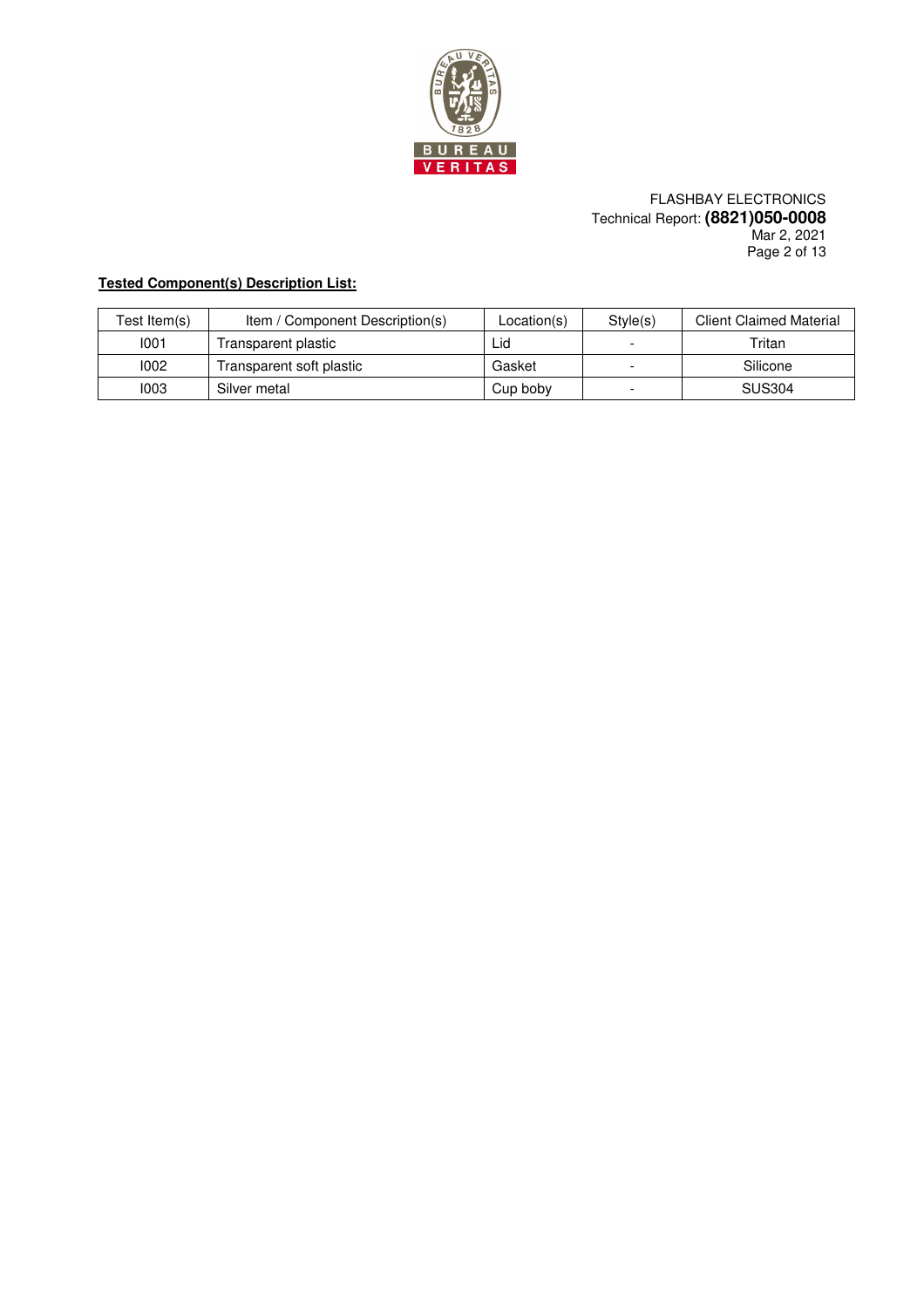

### FLASHBAY ELECTRONICS Technical Report: **(8821)050-0008** Mar 2, 2021 Page 2 of 13

# **Tested Component(s) Description List:**

| Test Item(s) | Item / Component Description(s) | Location(s) | Style(s) | <b>Client Claimed Material</b> |
|--------------|---------------------------------|-------------|----------|--------------------------------|
| 1001         | Transparent plastic             | Lid         |          | Tritan                         |
| 1002         | Transparent soft plastic        | Gasket      |          | Silicone                       |
| 1003         | Silver metal                    | Cup boby    |          | <b>SUS304</b>                  |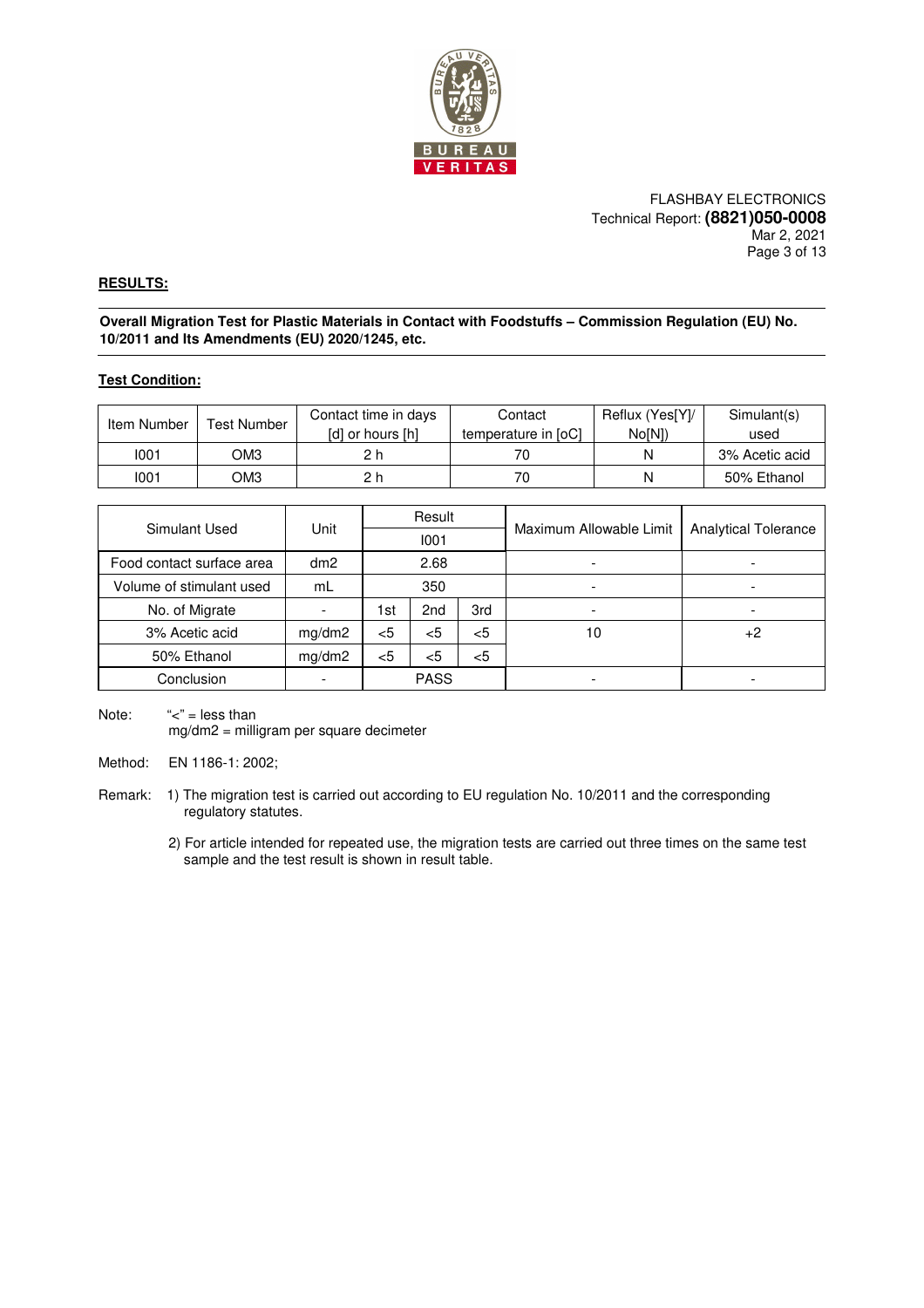

FLASHBAY ELECTRONICS Technical Report: **(8821)050-0008** Mar 2, 2021 Page 3 of 13

### **RESULTS:**

**Overall Migration Test for Plastic Materials in Contact with Foodstuffs – Commission Regulation (EU) No. 10/2011 and Its Amendments (EU) 2020/1245, etc.** 

#### **Test Condition:**

| Item Number | <b>Test Number</b> | Contact time in days | Contact             | Reflux (Yes[Y]/ | Simulant(s)    |
|-------------|--------------------|----------------------|---------------------|-----------------|----------------|
|             |                    | [d] or hours [h]     | temperature in [oC] | No[N])          | used           |
| 1001        | ОМЗ                | 2h                   |                     |                 | 3% Acetic acid |
| 1001        | OM3                | 2 h                  |                     |                 | 50% Ethanol    |

| Simulant Used             | Unit   |       | Result          |       |                         | <b>Analytical Tolerance</b> |  |
|---------------------------|--------|-------|-----------------|-------|-------------------------|-----------------------------|--|
|                           |        |       | 1001            |       | Maximum Allowable Limit |                             |  |
| Food contact surface area | dm2    |       | 2.68            |       |                         |                             |  |
| Volume of stimulant used  | mL     |       | 350             |       |                         |                             |  |
| No. of Migrate            |        | 1st   | 2 <sub>nd</sub> | 3rd   |                         |                             |  |
| 3% Acetic acid            | mg/dm2 | $<$ 5 | $<$ 5           | <5    | 10                      | $+2$                        |  |
| 50% Ethanol               | mg/dm2 | $<$ 5 | $<$ 5           | $<$ 5 |                         |                             |  |
| Conclusion                |        |       | <b>PASS</b>     |       |                         |                             |  |

Note:  $"<-$ " = less than mg/dm2 = milligram per square decimeter

Method: EN 1186-1: 2002;

Remark: 1) The migration test is carried out according to EU regulation No. 10/2011 and the corresponding regulatory statutes.

> 2) For article intended for repeated use, the migration tests are carried out three times on the same test sample and the test result is shown in result table.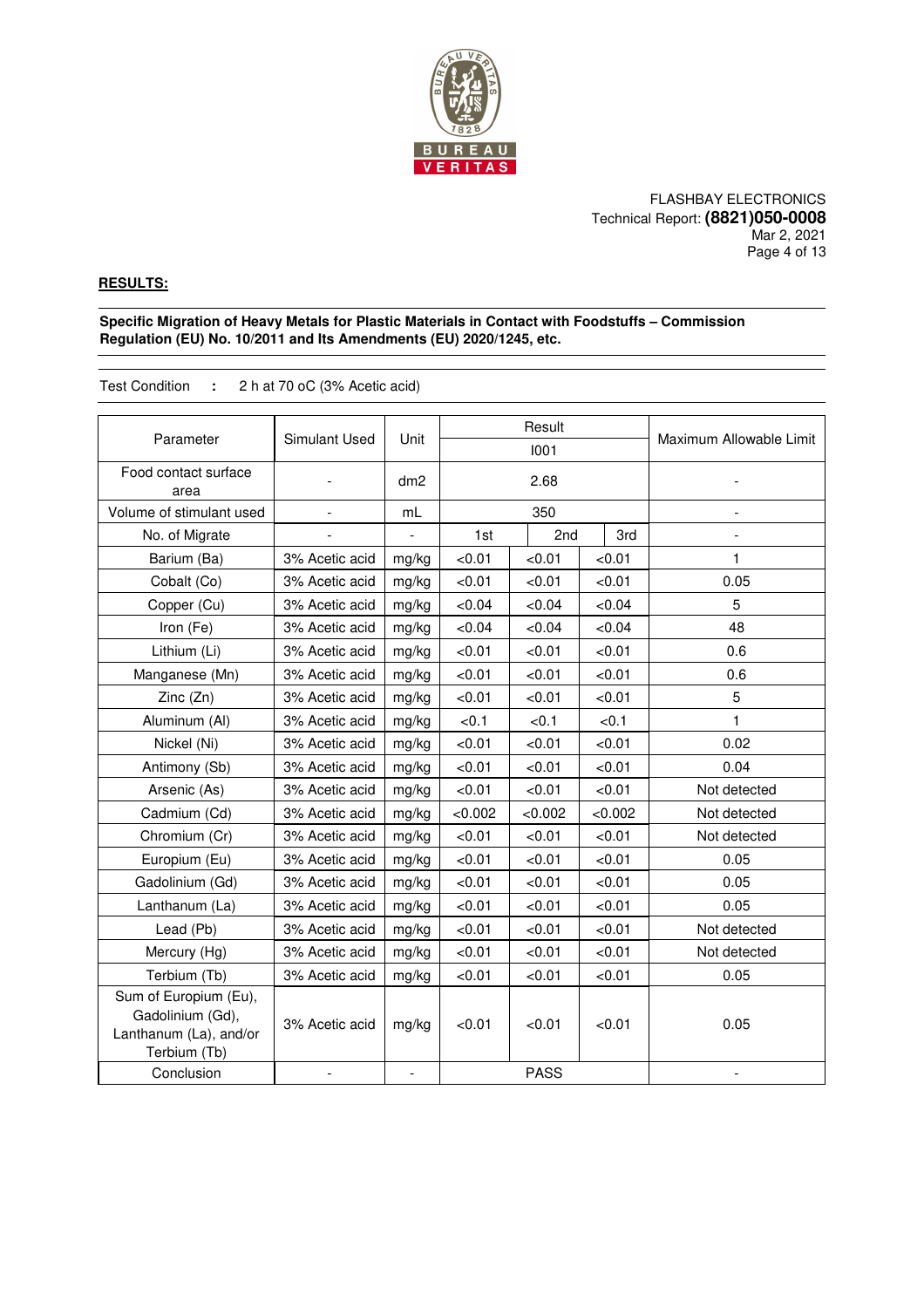

FLASHBAY ELECTRONICS Technical Report: **(8821)050-0008** Mar 2, 2021 Page 4 of 13

### **RESULTS:**

**Specific Migration of Heavy Metals for Plastic Materials in Contact with Foodstuffs – Commission Regulation (EU) No. 10/2011 and Its Amendments (EU) 2020/1245, etc.** 

Test Condition **:** 2 h at 70 oC (3% Acetic acid)

| Parameter                                                                           | Simulant Used  | Unit  | Result<br>1001 |             | Maximum Allowable Limit |              |
|-------------------------------------------------------------------------------------|----------------|-------|----------------|-------------|-------------------------|--------------|
|                                                                                     |                |       |                |             |                         |              |
| Food contact surface<br>area                                                        |                | dm2   |                | 2.68        |                         |              |
| Volume of stimulant used                                                            | $\overline{a}$ | mL    |                | 350         |                         |              |
| No. of Migrate                                                                      |                |       | 1st            | 2nd         | 3rd                     |              |
| Barium (Ba)                                                                         | 3% Acetic acid | mg/kg | < 0.01         | < 0.01      | < 0.01                  | 1            |
| Cobalt (Co)                                                                         | 3% Acetic acid | mg/kg | < 0.01         | < 0.01      | < 0.01                  | 0.05         |
| Copper (Cu)                                                                         | 3% Acetic acid | mg/kg | <0.04          | <0.04       | <0.04                   | 5            |
| Iron (Fe)                                                                           | 3% Acetic acid | mg/kg | <0.04          | <0.04       | <0.04                   | 48           |
| Lithium (Li)                                                                        | 3% Acetic acid | mg/kg | < 0.01         | < 0.01      | < 0.01                  | 0.6          |
| Manganese (Mn)                                                                      | 3% Acetic acid | mg/kg | < 0.01         | < 0.01      | < 0.01                  | 0.6          |
| Zinc (Zn)                                                                           | 3% Acetic acid | mg/kg | < 0.01         | < 0.01      | < 0.01                  | 5            |
| Aluminum (Al)                                                                       | 3% Acetic acid | mg/kg | < 0.1          | < 0.1       | <0.1                    | 1            |
| Nickel (Ni)                                                                         | 3% Acetic acid | mg/kg | < 0.01         | < 0.01      | < 0.01                  | 0.02         |
| Antimony (Sb)                                                                       | 3% Acetic acid | mg/kg | < 0.01         | < 0.01      | < 0.01                  | 0.04         |
| Arsenic (As)                                                                        | 3% Acetic acid | mg/kg | < 0.01         | < 0.01      | < 0.01                  | Not detected |
| Cadmium (Cd)                                                                        | 3% Acetic acid | mg/kg | < 0.002        | < 0.002     | < 0.002                 | Not detected |
| Chromium (Cr)                                                                       | 3% Acetic acid | mg/kg | < 0.01         | < 0.01      | < 0.01                  | Not detected |
| Europium (Eu)                                                                       | 3% Acetic acid | mg/kg | < 0.01         | < 0.01      | < 0.01                  | 0.05         |
| Gadolinium (Gd)                                                                     | 3% Acetic acid | mg/kg | < 0.01         | < 0.01      | < 0.01                  | 0.05         |
| Lanthanum (La)                                                                      | 3% Acetic acid | mg/kg | < 0.01         | < 0.01      | < 0.01                  | 0.05         |
| Lead (Pb)                                                                           | 3% Acetic acid | mg/kg | < 0.01         | < 0.01      | < 0.01                  | Not detected |
| Mercury (Hg)                                                                        | 3% Acetic acid | mg/kg | < 0.01         | < 0.01      | < 0.01                  | Not detected |
| Terbium (Tb)                                                                        | 3% Acetic acid | mg/kg | < 0.01         | < 0.01      | < 0.01                  | 0.05         |
| Sum of Europium (Eu),<br>Gadolinium (Gd),<br>Lanthanum (La), and/or<br>Terbium (Tb) | 3% Acetic acid | mg/kg | < 0.01         | < 0.01      | < 0.01                  | 0.05         |
| Conclusion                                                                          |                |       |                | <b>PASS</b> |                         |              |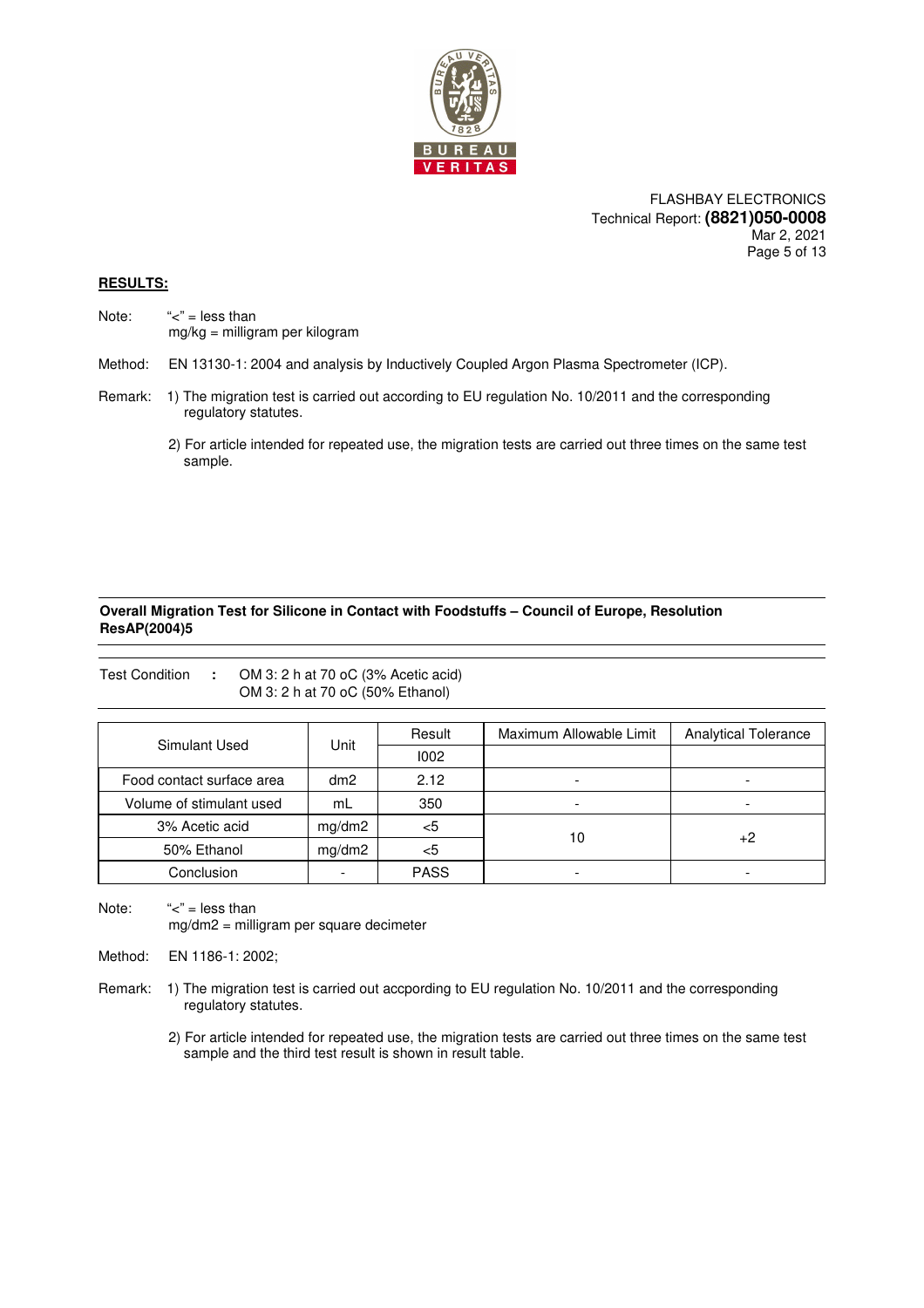

FLASHBAY ELECTRONICS Technical Report: **(8821)050-0008** Mar 2, 2021 Page 5 of 13

### **RESULTS:**

Note:  $"=' = less than$ mg/kg = milligram per kilogram

Method: EN 13130-1: 2004 and analysis by Inductively Coupled Argon Plasma Spectrometer (ICP).

- Remark: 1) The migration test is carried out according to EU regulation No. 10/2011 and the corresponding regulatory statutes.
	- 2) For article intended for repeated use, the migration tests are carried out three times on the same test sample.

### **Overall Migration Test for Silicone in Contact with Foodstuffs – Council of Europe, Resolution ResAP(2004)5**

|                           |                 | OM 3: 2 h at 70 oC (50% Ethanol) |                         |                             |
|---------------------------|-----------------|----------------------------------|-------------------------|-----------------------------|
|                           |                 | Result                           | Maximum Allowable Limit | <b>Analytical Tolerance</b> |
| Simulant Used             | Unit            | 1002                             |                         |                             |
| Food contact surface area | dm <sub>2</sub> | 2.12                             | -                       |                             |
| Volume of stimulant used  | mL              | 350                              |                         |                             |
| 3% Acetic acid            | mg/dm2          | $<$ 5                            |                         |                             |
| 50% Ethanol               | mg/dm2          | <5                               | 10                      | +2                          |
| Conclusion                |                 | <b>PASS</b>                      |                         |                             |

Note:  $\leq$ " = less than mg/dm2 = milligram per square decimeter

Test Condition **:** OM 3: 2 h at 70 oC (3% Acetic acid)

Method: EN 1186-1: 2002;

- Remark: 1) The migration test is carried out accpording to EU regulation No. 10/2011 and the corresponding regulatory statutes.
	- 2) For article intended for repeated use, the migration tests are carried out three times on the same test sample and the third test result is shown in result table.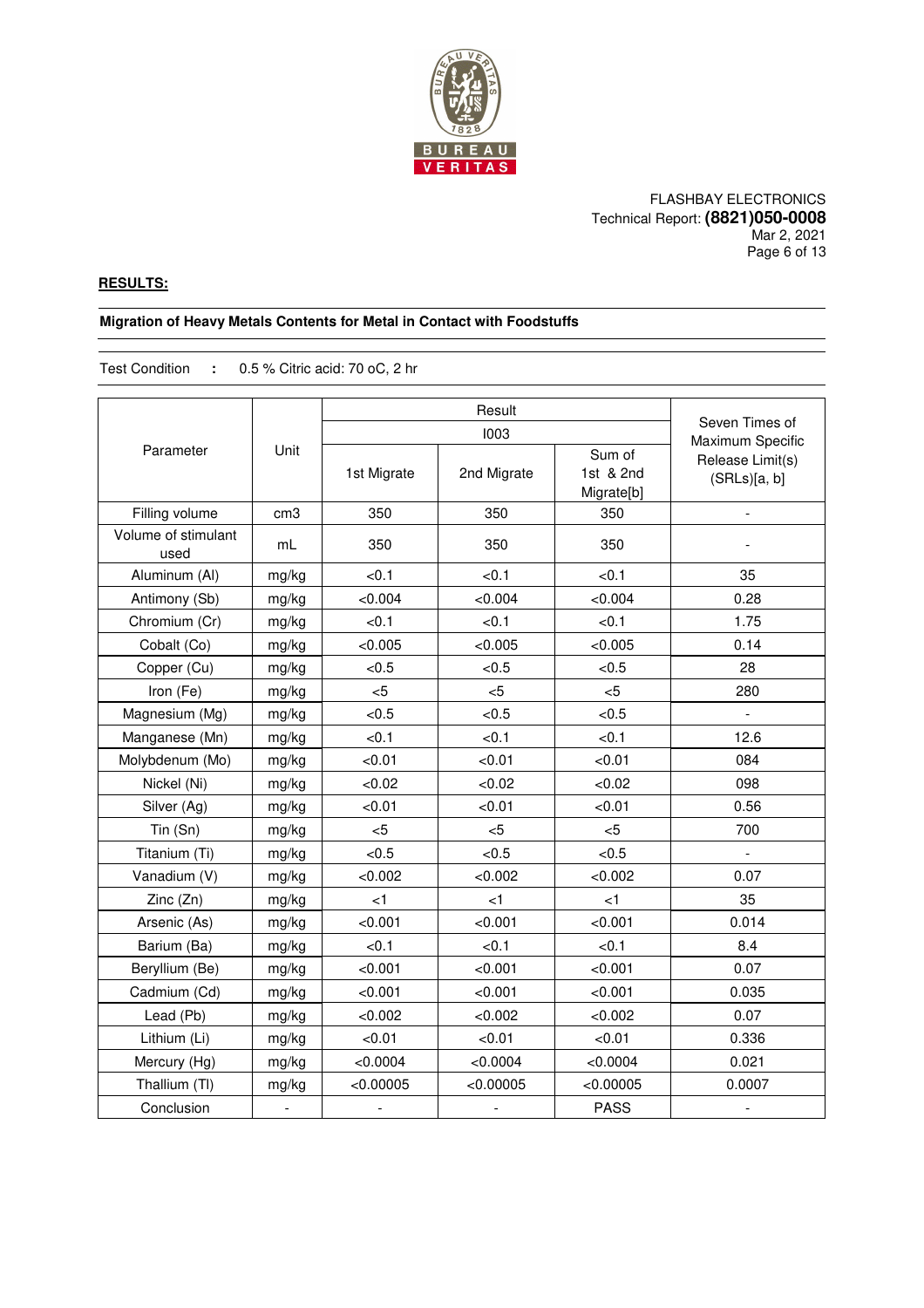

### FLASHBAY ELECTRONICS Technical Report: **(8821)050-0008** Mar 2, 2021 Page 6 of 13

### **RESULTS:**

### **Migration of Heavy Metals Contents for Metal in Contact with Foodstuffs**

Test Condition **:** 0.5 % Citric acid: 70 oC, 2 hr

|                             |                 |                | 1003           |                                   | Seven Times of<br>Maximum Specific |
|-----------------------------|-----------------|----------------|----------------|-----------------------------------|------------------------------------|
| Parameter                   | Unit            | 1st Migrate    | 2nd Migrate    | Sum of<br>1st & 2nd<br>Migrate[b] | Release Limit(s)<br>(SRLs)[a, b]   |
| Filling volume              | cm <sub>3</sub> | 350            | 350            | 350                               |                                    |
| Volume of stimulant<br>used | mL              | 350            | 350            | 350                               |                                    |
| Aluminum (Al)               | mg/kg           | < 0.1          | < 0.1          | < 0.1                             | 35                                 |
| Antimony (Sb)               | mg/kg           | < 0.004        | < 0.004        | < 0.004                           | 0.28                               |
| Chromium (Cr)               | mg/kg           | < 0.1          | < 0.1          | < 0.1                             | 1.75                               |
| Cobalt (Co)                 | mg/kg           | < 0.005        | < 0.005        | < 0.005                           | 0.14                               |
| Copper (Cu)                 | mg/kg           | < 0.5          | < 0.5          | < 0.5                             | 28                                 |
| Iron (Fe)                   | mg/kg           | 5              | 5              | 5                                 | 280                                |
| Magnesium (Mg)              | mg/kg           | < 0.5          | < 0.5          | < 0.5                             |                                    |
| Manganese (Mn)              | mg/kg           | < 0.1          | <0.1           | < 0.1                             | 12.6                               |
| Molybdenum (Mo)             | mg/kg           | < 0.01         | < 0.01         | < 0.01                            | 084                                |
| Nickel (Ni)                 | mg/kg           | < 0.02         | < 0.02         | <0.02                             | 098                                |
| Silver (Ag)                 | mg/kg           | < 0.01         | < 0.01         | < 0.01                            | 0.56                               |
| $T$ in $(Sn)$               | mg/kg           | $<$ 5          | $<$ 5          | $<$ 5                             | 700                                |
| Titanium (Ti)               | mg/kg           | < 0.5          | < 0.5          | < 0.5                             | $\blacksquare$                     |
| Vanadium (V)                | mg/kg           | < 0.002        | < 0.002        | < 0.002                           | 0.07                               |
| Zinc (Zn)                   | mg/kg           | $<$ 1          | $<$ 1          | < 1                               | 35                                 |
| Arsenic (As)                | mg/kg           | < 0.001        | < 0.001        | < 0.001                           | 0.014                              |
| Barium (Ba)                 | mg/kg           | < 0.1          | < 0.1          | < 0.1                             | 8.4                                |
| Beryllium (Be)              | mg/kg           | < 0.001        | < 0.001        | < 0.001                           | 0.07                               |
| Cadmium (Cd)                | mg/kg           | < 0.001        | < 0.001        | < 0.001                           | 0.035                              |
| Lead (Pb)                   | mg/kg           | < 0.002        | < 0.002        | < 0.002                           | 0.07                               |
| Lithium (Li)                | mg/kg           | < 0.01         | < 0.01         | < 0.01                            | 0.336                              |
| Mercury (Hg)                | mg/kg           | < 0.0004       | < 0.0004       | < 0.0004                          | 0.021                              |
| Thallium (TI)               | mg/kg           | < 0.00005      | < 0.00005      | < 0.00005                         | 0.0007                             |
| Conclusion                  | $\frac{1}{2}$   | $\overline{a}$ | $\overline{a}$ | <b>PASS</b>                       | $\overline{a}$                     |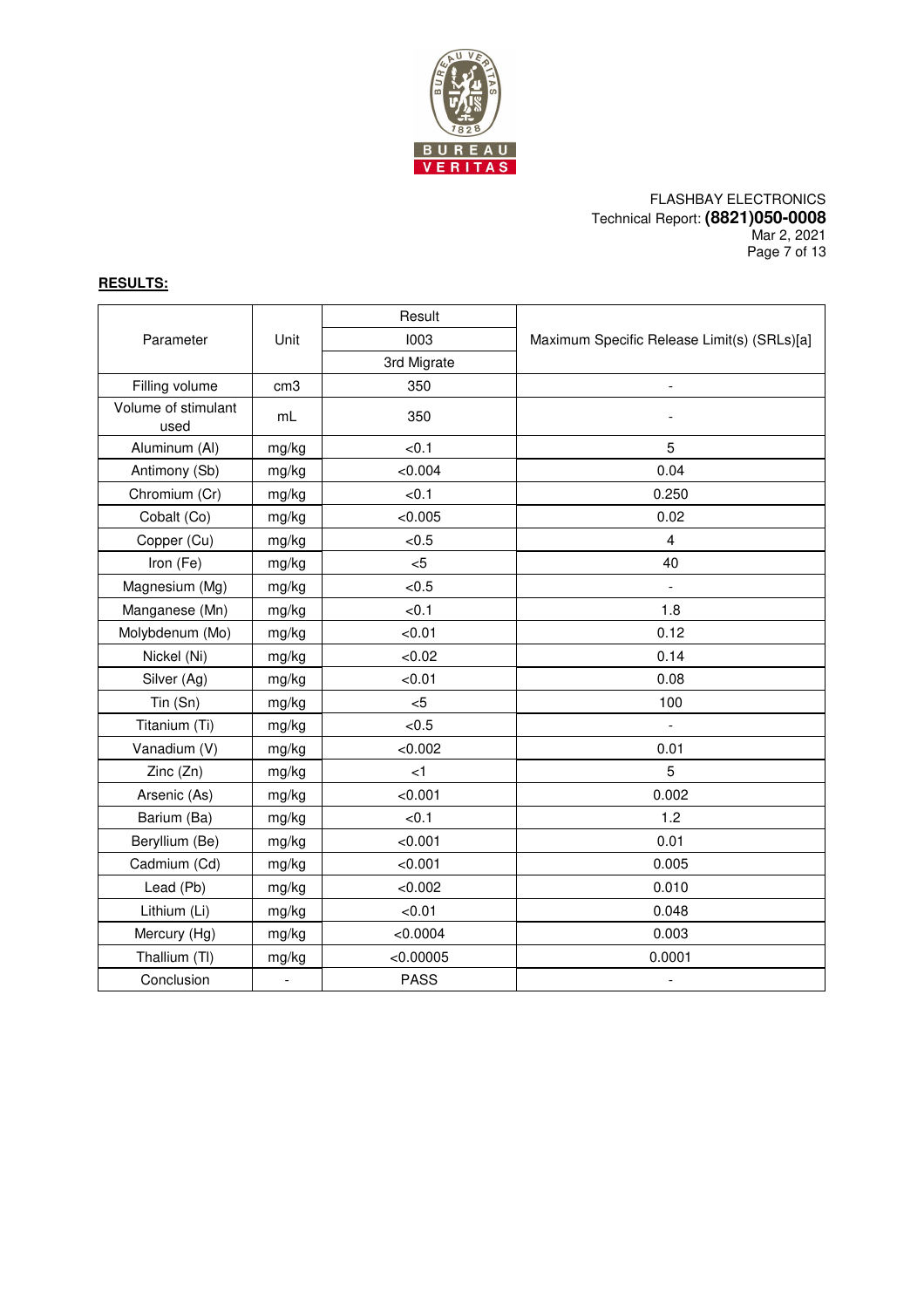

### FLASHBAY ELECTRONICS Technical Report: **(8821)050-0008** Mar 2, 2021 Page 7 of 13

# **RESULTS:**

|                             |                 | Result      |                                             |  |
|-----------------------------|-----------------|-------------|---------------------------------------------|--|
| Parameter                   | Unit            | 1003        | Maximum Specific Release Limit(s) (SRLs)[a] |  |
|                             |                 | 3rd Migrate |                                             |  |
| Filling volume              | cm <sub>3</sub> | 350         | $\overline{a}$                              |  |
| Volume of stimulant<br>used | mL              | 350         |                                             |  |
| Aluminum (Al)               | mg/kg           | < 0.1       | 5                                           |  |
| Antimony (Sb)               | mg/kg           | <0.004      | 0.04                                        |  |
| Chromium (Cr)               | mg/kg           | <0.1        | 0.250                                       |  |
| Cobalt (Co)                 | mg/kg           | < 0.005     | 0.02                                        |  |
| Copper (Cu)                 | mg/kg           | < 0.5       | $\overline{4}$                              |  |
| Iron (Fe)                   | mg/kg           | $5$         | 40                                          |  |
| Magnesium (Mg)              | mg/kg           | < 0.5       | $\overline{a}$                              |  |
| Manganese (Mn)              | mg/kg           | < 0.1       | 1.8                                         |  |
| Molybdenum (Mo)             | mg/kg           | < 0.01      | 0.12                                        |  |
| Nickel (Ni)                 | mg/kg           | <0.02       | 0.14                                        |  |
| Silver (Ag)                 | mg/kg           | < 0.01      | 0.08                                        |  |
| Tin (Sn)                    | mg/kg           | < 5         | 100                                         |  |
| Titanium (Ti)               | mg/kg           | < 0.5       | $\overline{a}$                              |  |
| Vanadium (V)                | mg/kg           | < 0.002     | 0.01                                        |  |
| Zinc (Zn)                   | mg/kg           | < 1         | 5                                           |  |
| Arsenic (As)                | mg/kg           | < 0.001     | 0.002                                       |  |
| Barium (Ba)                 | mg/kg           | < 0.1       | 1.2                                         |  |
| Beryllium (Be)              | mg/kg           | < 0.001     | 0.01                                        |  |
| Cadmium (Cd)                | mg/kg           | < 0.001     | 0.005                                       |  |
| Lead (Pb)                   | mg/kg           | < 0.002     | 0.010                                       |  |
| Lithium (Li)                | mg/kg           | < 0.01      | 0.048                                       |  |
| Mercury (Hg)                | mg/kg           | < 0.0004    | 0.003                                       |  |
| Thallium (TI)               | mg/kg           | < 0.00005   | 0.0001                                      |  |
| Conclusion                  |                 | <b>PASS</b> | $\qquad \qquad \blacksquare$                |  |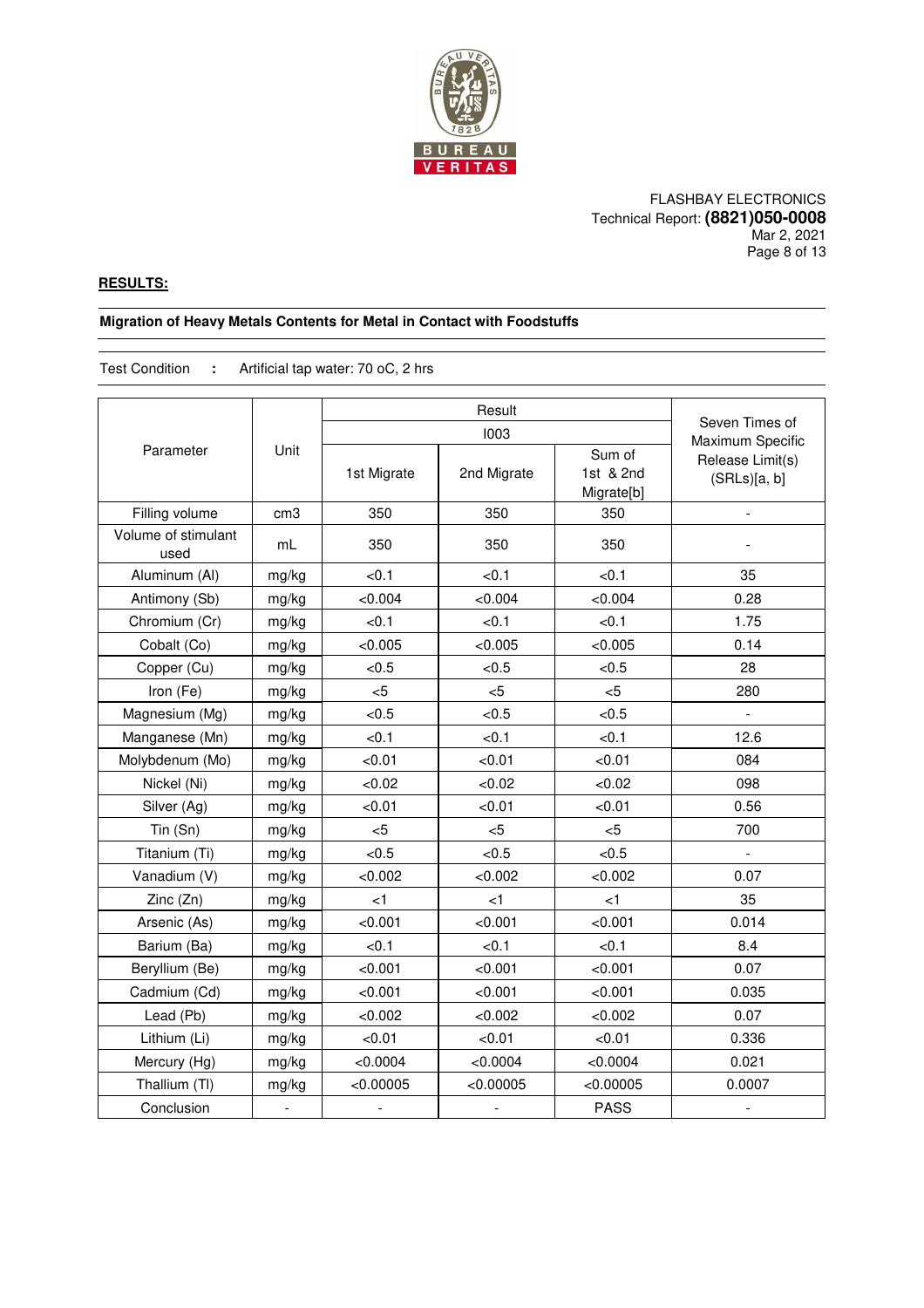

### FLASHBAY ELECTRONICS Technical Report: **(8821)050-0008** Mar 2, 2021 Page 8 of 13

### **RESULTS:**

### **Migration of Heavy Metals Contents for Metal in Contact with Foodstuffs**

Test Condition **:** Artificial tap water: 70 oC, 2 hrs

|                             |                 |                          | Seven Times of |                                   |                                  |
|-----------------------------|-----------------|--------------------------|----------------|-----------------------------------|----------------------------------|
|                             |                 |                          | 1003           |                                   | Maximum Specific                 |
| Parameter                   | Unit            | 1st Migrate              | 2nd Migrate    | Sum of<br>1st & 2nd<br>Migrate[b] | Release Limit(s)<br>(SRLs)[a, b] |
| Filling volume              | cm <sub>3</sub> | 350                      | 350            | 350                               |                                  |
| Volume of stimulant<br>used | mL              | 350                      | 350            | 350                               |                                  |
| Aluminum (Al)               | mg/kg           | < 0.1                    | < 0.1          | < 0.1                             | 35                               |
| Antimony (Sb)               | mg/kg           | < 0.004                  | < 0.004        | < 0.004                           | 0.28                             |
| Chromium (Cr)               | mg/kg           | < 0.1                    | < 0.1          | < 0.1                             | 1.75                             |
| Cobalt (Co)                 | mg/kg           | < 0.005                  | < 0.005        | < 0.005                           | 0.14                             |
| Copper (Cu)                 | mg/kg           | < 0.5                    | < 0.5          | < 0.5                             | 28                               |
| Iron (Fe)                   | mg/kg           | $<$ 5                    | $<$ 5          | $<$ 5                             | 280                              |
| Magnesium (Mg)              | mg/kg           | < 0.5                    | < 0.5          | < 0.5                             | $\blacksquare$                   |
| Manganese (Mn)              | mg/kg           | < 0.1                    | < 0.1          | < 0.1                             | 12.6                             |
| Molybdenum (Mo)             | mg/kg           | < 0.01                   | < 0.01         | < 0.01                            | 084                              |
| Nickel (Ni)                 | mg/kg           | <0.02                    | <0.02          | <0.02                             | 098                              |
| Silver (Ag)                 | mg/kg           | < 0.01                   | < 0.01         | < 0.01                            | 0.56                             |
| Tin (Sn)                    | mg/kg           | < 5                      | < 5            | $<$ 5                             | 700                              |
| Titanium (Ti)               | mg/kg           | < 0.5                    | < 0.5          | < 0.5                             | $\overline{a}$                   |
| Vanadium (V)                | mg/kg           | < 0.002                  | < 0.002        | < 0.002                           | 0.07                             |
| Zinc (Zn)                   | mg/kg           | $\leq$ 1                 | $\leq$ 1       | < 1                               | 35                               |
| Arsenic (As)                | mg/kg           | < 0.001                  | < 0.001        | < 0.001                           | 0.014                            |
| Barium (Ba)                 | mg/kg           | < 0.1                    | < 0.1          | < 0.1                             | 8.4                              |
| Beryllium (Be)              | mg/kg           | < 0.001                  | < 0.001        | < 0.001                           | 0.07                             |
| Cadmium (Cd)                | mg/kg           | < 0.001                  | < 0.001        | < 0.001                           | 0.035                            |
| Lead (Pb)                   | mg/kg           | < 0.002                  | < 0.002        | < 0.002                           | 0.07                             |
| Lithium (Li)                | mg/kg           | < 0.01                   | < 0.01         | < 0.01                            | 0.336                            |
| Mercury (Hg)                | mg/kg           | < 0.0004                 | < 0.0004       | < 0.0004                          | 0.021                            |
| Thallium (TI)               | mg/kg           | < 0.00005                | < 0.00005      | < 0.00005                         | 0.0007                           |
| Conclusion                  | $\overline{a}$  | $\overline{\phantom{a}}$ | $\overline{a}$ | <b>PASS</b>                       | $\frac{1}{2}$                    |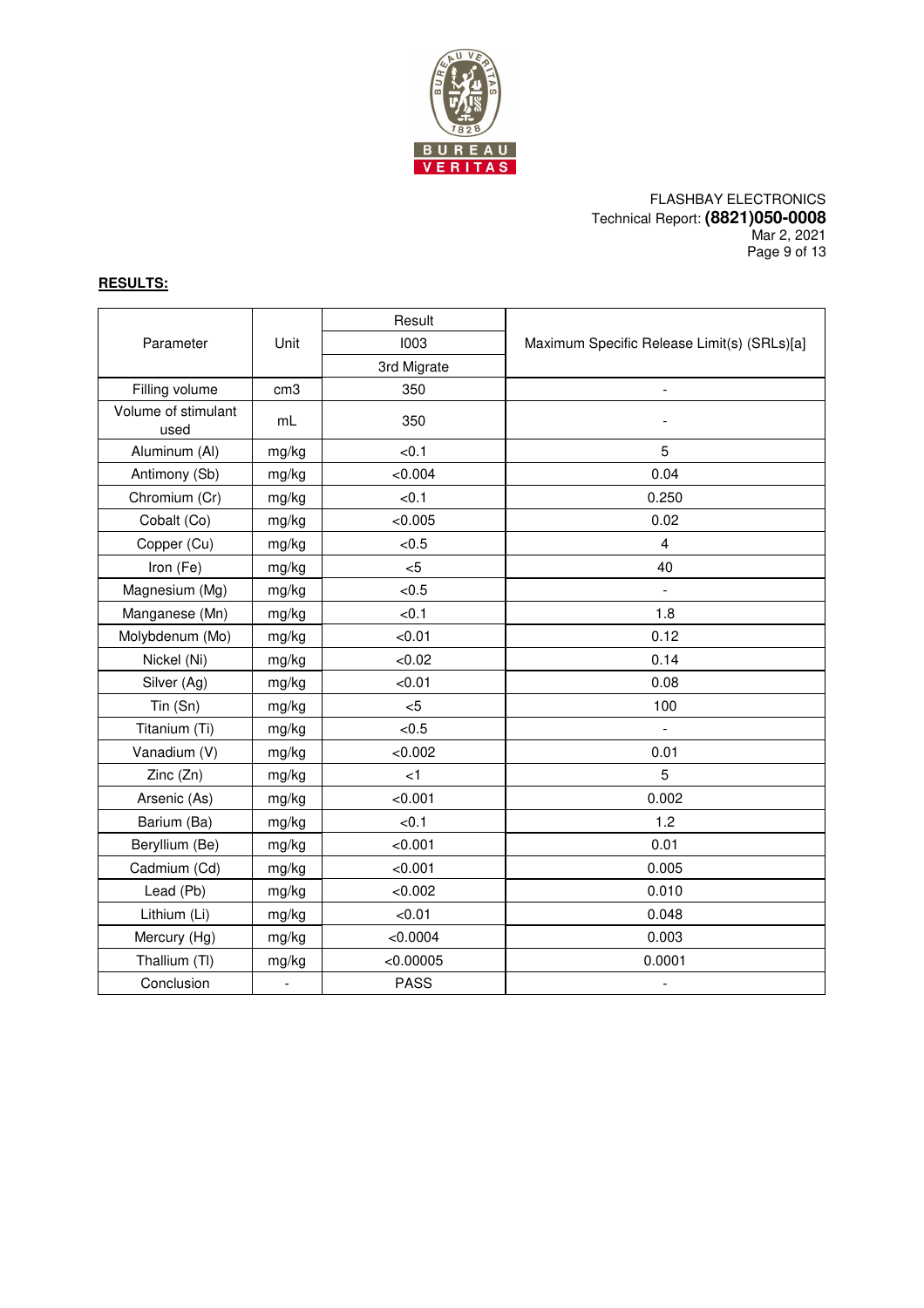

### FLASHBAY ELECTRONICS Technical Report: **(8821)050-0008** Mar 2, 2021 Page 9 of 13

# **RESULTS:**

|                             |                              | Result      |                                             |
|-----------------------------|------------------------------|-------------|---------------------------------------------|
| Parameter                   | Unit                         | 1003        | Maximum Specific Release Limit(s) (SRLs)[a] |
|                             |                              | 3rd Migrate |                                             |
| Filling volume              | cm <sub>3</sub>              | 350         | $\frac{1}{2}$                               |
| Volume of stimulant<br>used | mL                           | 350         |                                             |
| Aluminum (Al)               | mg/kg                        | <0.1        | 5                                           |
| Antimony (Sb)               | mg/kg                        | < 0.004     | 0.04                                        |
| Chromium (Cr)               | mg/kg                        | < 0.1       | 0.250                                       |
| Cobalt (Co)                 | mg/kg                        | < 0.005     | 0.02                                        |
| Copper (Cu)                 | mg/kg                        | < 0.5       | $\overline{4}$                              |
| Iron (Fe)                   | mg/kg                        | < 5         | 40                                          |
| Magnesium (Mg)              | mg/kg                        | < 0.5       | $\overline{a}$                              |
| Manganese (Mn)              | mg/kg                        | < 0.1       | 1.8                                         |
| Molybdenum (Mo)             | mg/kg                        | < 0.01      | 0.12                                        |
| Nickel (Ni)                 | mg/kg                        | < 0.02      | 0.14                                        |
| Silver (Ag)                 | mg/kg                        | < 0.01      | 0.08                                        |
| Tin (Sn)                    | mg/kg                        | < 5         | 100                                         |
| Titanium (Ti)               | mg/kg                        | < 0.5       | $\blacksquare$                              |
| Vanadium (V)                | mg/kg                        | < 0.002     | 0.01                                        |
| Zinc (Zn)                   | mg/kg                        | $<$ 1       | 5                                           |
| Arsenic (As)                | mg/kg                        | < 0.001     | 0.002                                       |
| Barium (Ba)                 | mg/kg                        | < 0.1       | 1.2                                         |
| Beryllium (Be)              | mg/kg                        | < 0.001     | 0.01                                        |
| Cadmium (Cd)                | mg/kg                        | < 0.001     | 0.005                                       |
| Lead (Pb)                   | mg/kg                        | < 0.002     | 0.010                                       |
| Lithium (Li)                | mg/kg                        | < 0.01      | 0.048                                       |
| Mercury (Hg)                | mg/kg                        | < 0.0004    | 0.003                                       |
| Thallium (TI)               | mg/kg                        | < 0.00005   | 0.0001                                      |
| Conclusion                  | $\qquad \qquad \blacksquare$ | <b>PASS</b> | $\overline{\phantom{a}}$                    |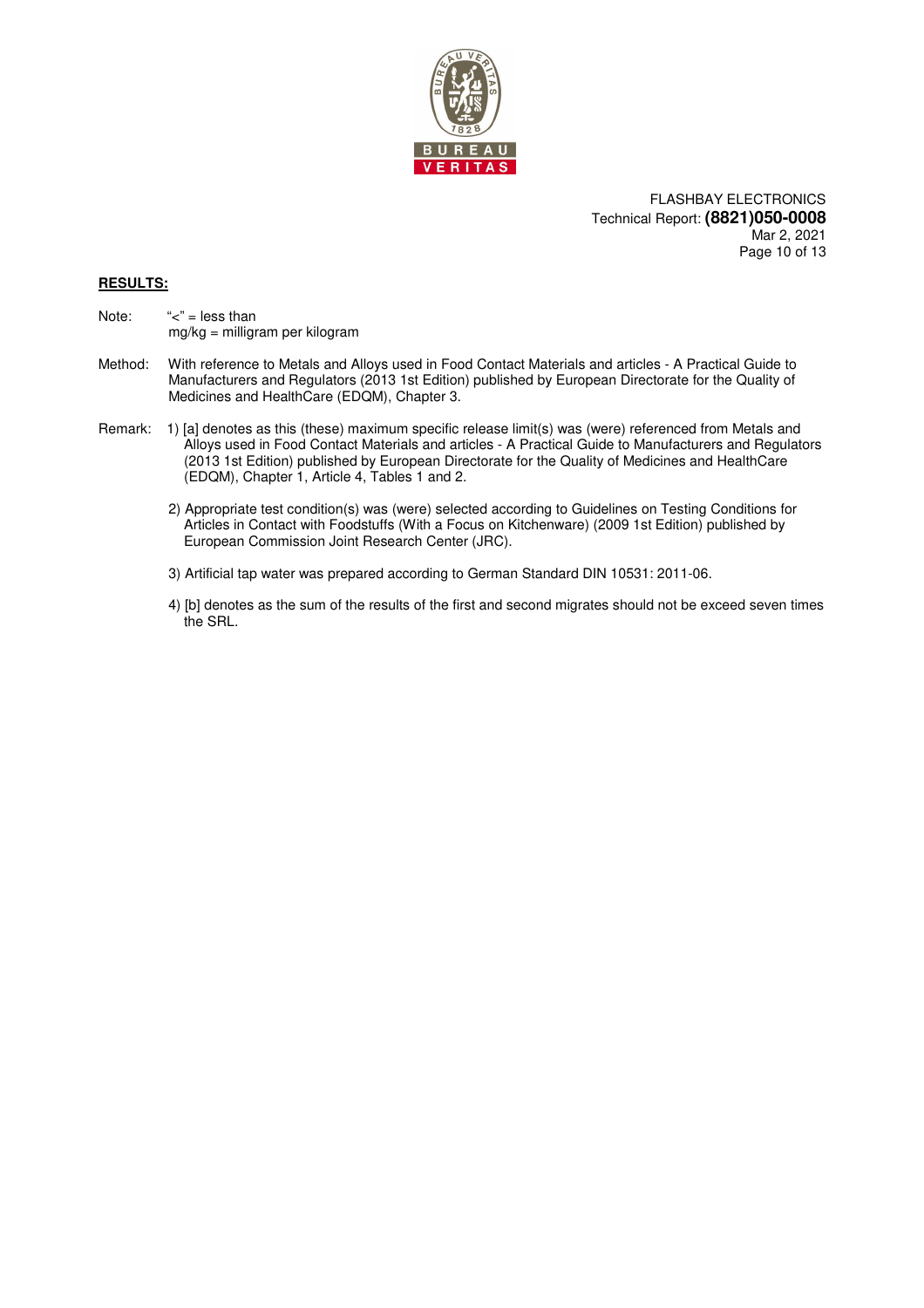

FLASHBAY ELECTRONICS Technical Report: **(8821)050-0008** Mar 2, 2021 Page 10 of 13

### **RESULTS:**

- Note:  $\text{``<''} = \text{less than}$ mg/kg = milligram per kilogram
- Method: With reference to Metals and Alloys used in Food Contact Materials and articles A Practical Guide to Manufacturers and Regulators (2013 1st Edition) published by European Directorate for the Quality of Medicines and HealthCare (EDQM), Chapter 3.
- Remark: 1) [a] denotes as this (these) maximum specific release limit(s) was (were) referenced from Metals and Alloys used in Food Contact Materials and articles - A Practical Guide to Manufacturers and Regulators (2013 1st Edition) published by European Directorate for the Quality of Medicines and HealthCare (EDQM), Chapter 1, Article 4, Tables 1 and 2.
	- 2) Appropriate test condition(s) was (were) selected according to Guidelines on Testing Conditions for Articles in Contact with Foodstuffs (With a Focus on Kitchenware) (2009 1st Edition) published by European Commission Joint Research Center (JRC).
	- 3) Artificial tap water was prepared according to German Standard DIN 10531: 2011-06.
	- 4) [b] denotes as the sum of the results of the first and second migrates should not be exceed seven times the SRL.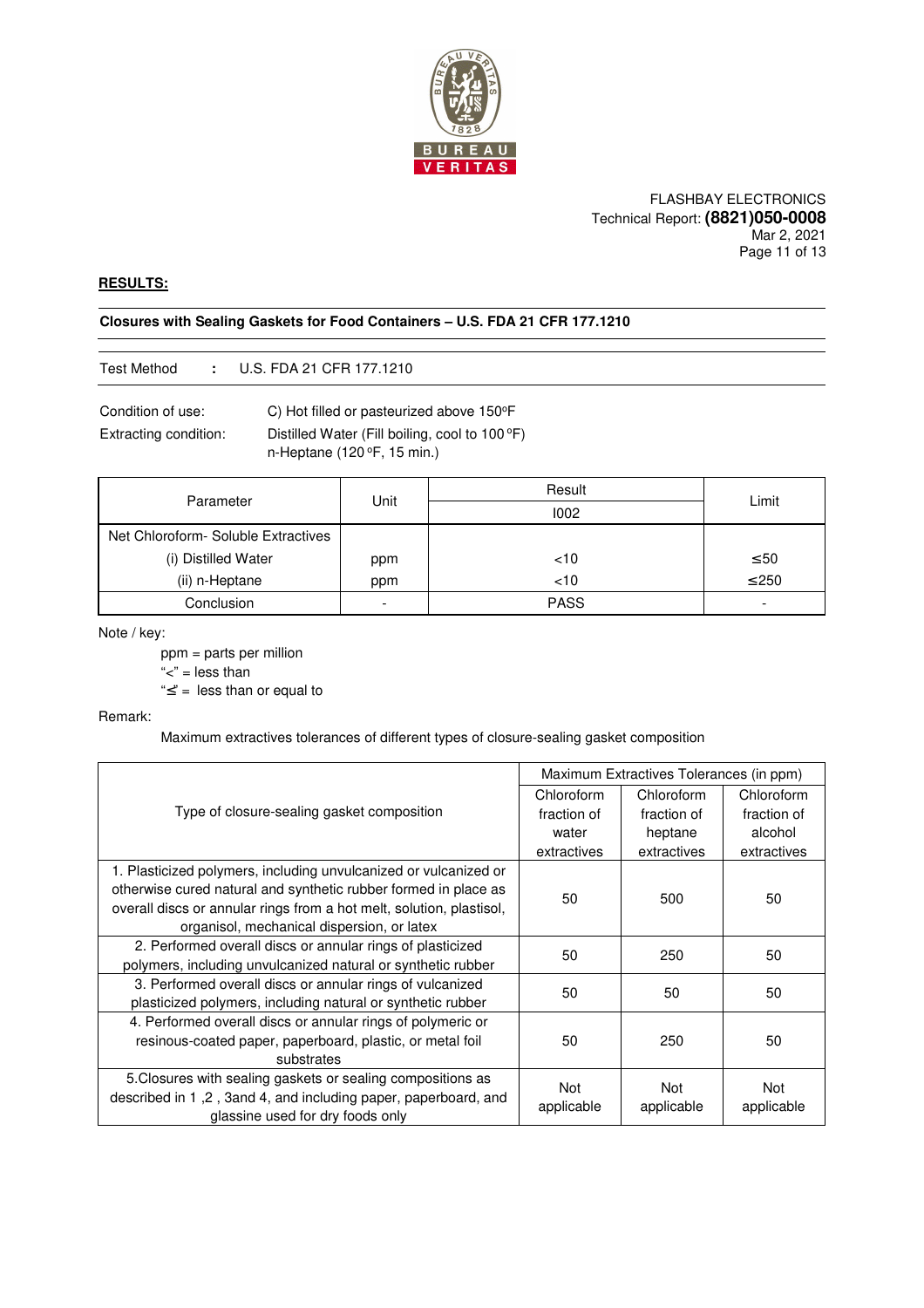

#### FLASHBAY ELECTRONICS Technical Report: **(8821)050-0008** Mar 2, 2021 Page 11 of 13

### **RESULTS:**

### **Closures with Sealing Gaskets for Food Containers – U.S. FDA 21 CFR 177.1210**

### Test Method **:** U.S. FDA 21 CFR 177.1210

Condition of use: C) Hot filled or pasteurized above 150°F

Extracting condition: Distilled Water (Fill boiling, cool to 100 °F) n-Heptane (120 $\degree$ F, 15 min.)

|                                      | Unit                     | Result      | Limit                    |  |
|--------------------------------------|--------------------------|-------------|--------------------------|--|
| Parameter                            |                          | 1002        |                          |  |
| Net Chloroform - Soluble Extractives |                          |             |                          |  |
| (i) Distilled Water                  | ppm                      | < 10        | $\leq 50$                |  |
| (ii) n-Heptane                       | ppm                      | $<$ 10      | $\leq 250$               |  |
| Conclusion                           | $\overline{\phantom{a}}$ | <b>PASS</b> | $\overline{\phantom{0}}$ |  |

#### Note / key:

ppm = parts per million

" $lt$ " = less than

"≤" = less than or equal to

### Remark:

Maximum extractives tolerances of different types of closure-sealing gasket composition

|                                                                      | Maximum Extractives Tolerances (in ppm) |             |                   |
|----------------------------------------------------------------------|-----------------------------------------|-------------|-------------------|
| Type of closure-sealing gasket composition                           | Chloroform                              | Chloroform  | Chloroform        |
|                                                                      | fraction of                             | fraction of | fraction of       |
|                                                                      | water                                   | heptane     | alcohol           |
|                                                                      | extractives                             | extractives | extractives       |
| 1. Plasticized polymers, including unvulcanized or vulcanized or     |                                         |             |                   |
| otherwise cured natural and synthetic rubber formed in place as      | 50                                      | 500         | 50                |
| overall discs or annular rings from a hot melt, solution, plastisol, |                                         |             |                   |
| organisol, mechanical dispersion, or latex                           |                                         |             |                   |
| 2. Performed overall discs or annular rings of plasticized           | 50                                      | 250         | 50                |
| polymers, including unvulcanized natural or synthetic rubber         |                                         |             |                   |
| 3. Performed overall discs or annular rings of vulcanized            | 50                                      | 50          | 50                |
| plasticized polymers, including natural or synthetic rubber          |                                         |             |                   |
| 4. Performed overall discs or annular rings of polymeric or          |                                         |             |                   |
| resinous-coated paper, paperboard, plastic, or metal foil            | 50                                      | 250         | 50                |
| substrates                                                           |                                         |             |                   |
| 5. Closures with sealing gaskets or sealing compositions as          | <b>Not</b>                              | Not         | Not<br>applicable |
| described in 1,2, 3and 4, and including paper, paperboard, and       | applicable                              | applicable  |                   |
| glassine used for dry foods only                                     |                                         |             |                   |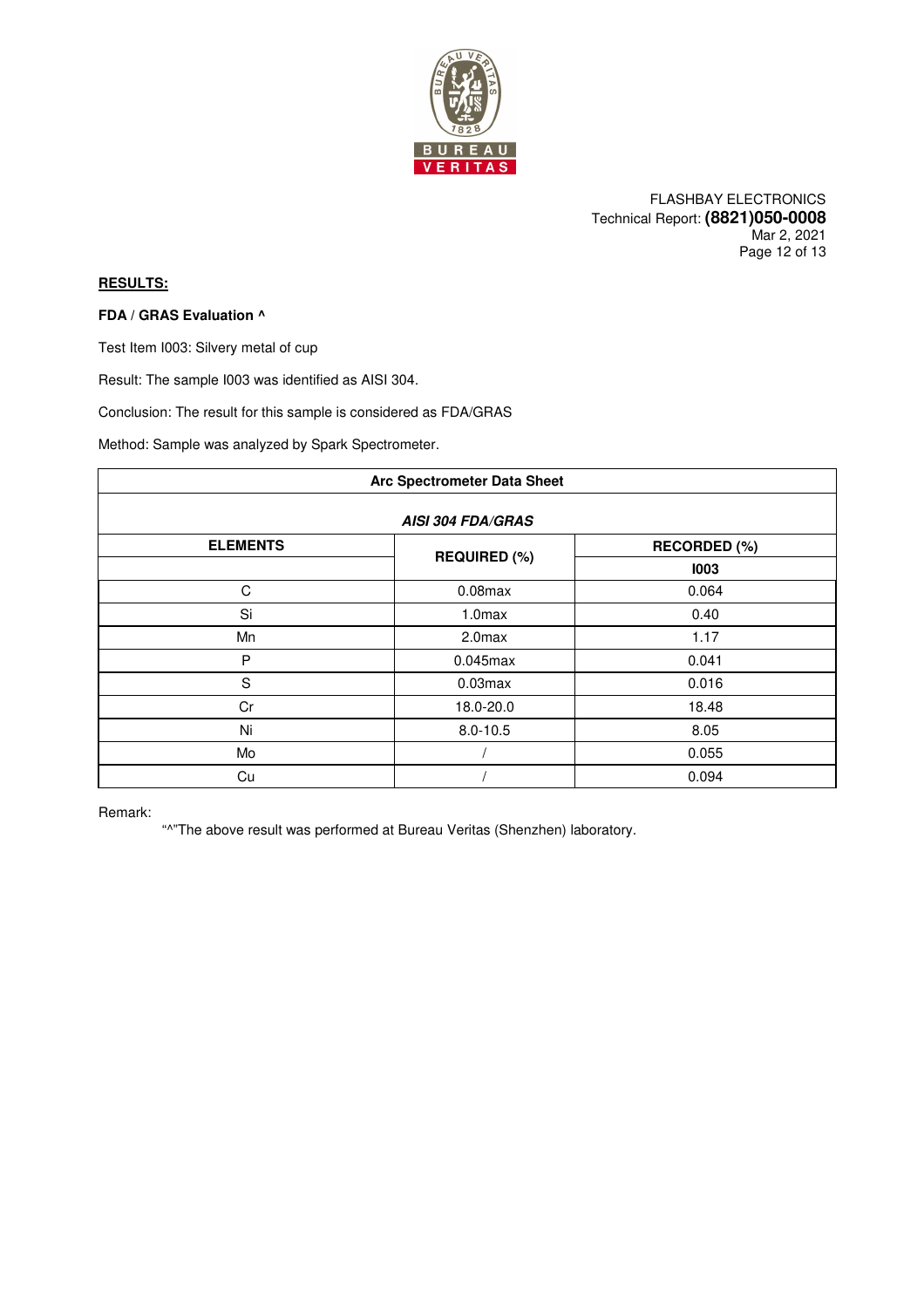

FLASHBAY ELECTRONICS Technical Report: **(8821)050-0008** Mar 2, 2021 Page 12 of 13

## **RESULTS:**

### **FDA / GRAS Evaluation ^**

Test Item I003: Silvery metal of cup

Result: The sample I003 was identified as AISI 304.

Conclusion: The result for this sample is considered as FDA/GRAS

Method: Sample was analyzed by Spark Spectrometer.

| <b>Arc Spectrometer Data Sheet</b> |                     |              |  |
|------------------------------------|---------------------|--------------|--|
| <b>AISI 304 FDA/GRAS</b>           |                     |              |  |
| <b>ELEMENTS</b>                    | <b>REQUIRED (%)</b> | RECORDED (%) |  |
|                                    |                     | 1003         |  |
| C                                  | $0.08$ max          | 0.064        |  |
| Si                                 | 1.0 <sub>max</sub>  | 0.40         |  |
| Mn                                 | 2.0 <sub>max</sub>  | 1.17         |  |
| P                                  | $0.045$ max         | 0.041        |  |
| $\mathbf S$                        | $0.03$ max          | 0.016        |  |
| Cr                                 | 18.0-20.0           | 18.48        |  |
| Ni                                 | $8.0 - 10.5$        | 8.05         |  |
| Mo                                 |                     | 0.055        |  |
| Cu                                 |                     | 0.094        |  |

Remark:

"^"The above result was performed at Bureau Veritas (Shenzhen) laboratory.